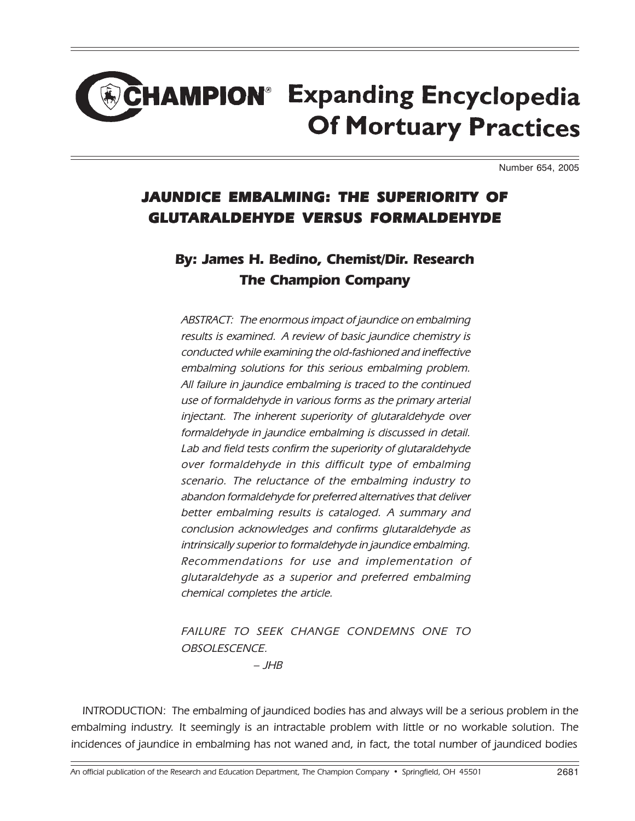## **HAMPION® Expanding Encyclopedia Of Mortuary Practices**

Number 654, 2005

## JAUNDICE EMBALMING: THE SUPERIORITY OF GLUTARALDEHYDE VERSUS FORMALDEHYDE

## By: James H. Bedino, Chemist/Dir. Research The Champion Company

ABSTRACT: The enormous impact of jaundice on embalming results is examined. A review of basic jaundice chemistry is conducted while examining the old-fashioned and ineffective embalming solutions for this serious embalming problem. All failure in jaundice embalming is traced to the continued use of formaldehyde in various forms as the primary arterial injectant. The inherent superiority of glutaraldehyde over formaldehyde in jaundice embalming is discussed in detail. Lab and field tests confirm the superiority of glutaraldehyde over formaldehyde in this difficult type of embalming scenario. The reluctance of the embalming industry to abandon formaldehyde for preferred alternatives that deliver better embalming results is cataloged. A summary and conclusion acknowledges and confirms glutaraldehyde as intrinsically superior to formaldehyde in jaundice embalming. Recommendations for use and implementation of glutaraldehyde as a superior and preferred embalming chemical completes the article.

FAILURE TO SEEK CHANGE CONDEMNS ONE TO OBSOLESCENCE.

 $-$  JHB

INTRODUCTION: The embalming of jaundiced bodies has and always will be a serious problem in the embalming industry. It seemingly is an intractable problem with little or no workable solution. The incidences of jaundice in embalming has not waned and, in fact, the total number of jaundiced bodies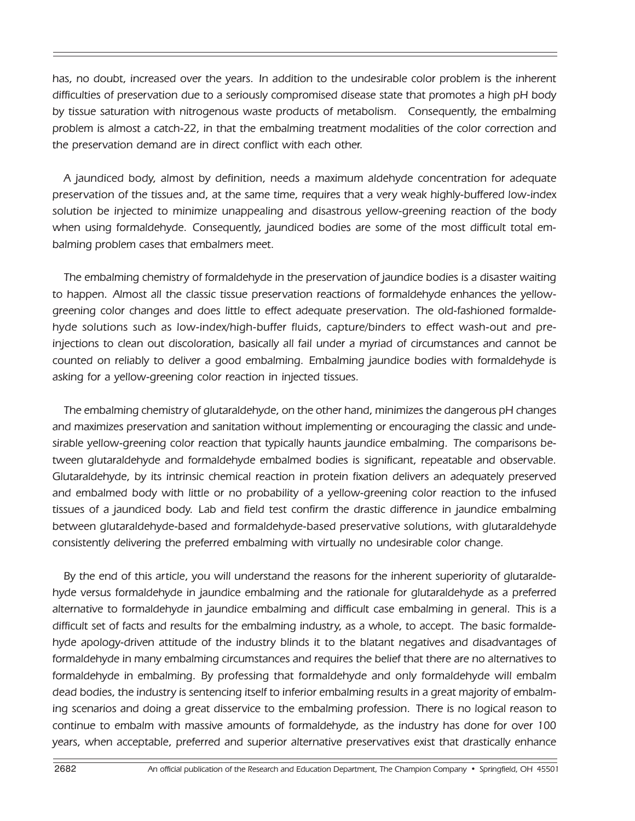has, no doubt, increased over the years. In addition to the undesirable color problem is the inherent difficulties of preservation due to a seriously compromised disease state that promotes a high pH body by tissue saturation with nitrogenous waste products of metabolism. Consequently, the embalming problem is almost a catch-22, in that the embalming treatment modalities of the color correction and the preservation demand are in direct conflict with each other.

A jaundiced body, almost by definition, needs a maximum aldehyde concentration for adequate preservation of the tissues and, at the same time, requires that a very weak highly-buffered low-index solution be injected to minimize unappealing and disastrous yellow-greening reaction of the body when using formaldehyde. Consequently, jaundiced bodies are some of the most difficult total embalming problem cases that embalmers meet.

The embalming chemistry of formaldehyde in the preservation of jaundice bodies is a disaster waiting to happen. Almost all the classic tissue preservation reactions of formaldehyde enhances the yellowgreening color changes and does little to effect adequate preservation. The old-fashioned formaldehyde solutions such as low-index/high-buffer fluids, capture/binders to effect wash-out and preinjections to clean out discoloration, basically all fail under a myriad of circumstances and cannot be counted on reliably to deliver a good embalming. Embalming jaundice bodies with formaldehyde is asking for a yellow-greening color reaction in injected tissues.

The embalming chemistry of glutaraldehyde, on the other hand, minimizes the dangerous pH changes and maximizes preservation and sanitation without implementing or encouraging the classic and undesirable yellow-greening color reaction that typically haunts jaundice embalming. The comparisons between glutaraldehyde and formaldehyde embalmed bodies is significant, repeatable and observable. Glutaraldehyde, by its intrinsic chemical reaction in protein fixation delivers an adequately preserved and embalmed body with little or no probability of a yellow-greening color reaction to the infused tissues of a jaundiced body. Lab and field test confirm the drastic difference in jaundice embalming between glutaraldehyde-based and formaldehyde-based preservative solutions, with glutaraldehyde consistently delivering the preferred embalming with virtually no undesirable color change.

By the end of this article, you will understand the reasons for the inherent superiority of glutaraldehyde versus formaldehyde in jaundice embalming and the rationale for glutaraldehyde as a preferred alternative to formaldehyde in jaundice embalming and difficult case embalming in general. This is a difficult set of facts and results for the embalming industry, as a whole, to accept. The basic formaldehyde apology-driven attitude of the industry blinds it to the blatant negatives and disadvantages of formaldehyde in many embalming circumstances and requires the belief that there are no alternatives to formaldehyde in embalming. By professing that formaldehyde and only formaldehyde will embalm dead bodies, the industry is sentencing itself to inferior embalming results in a great majority of embalming scenarios and doing a great disservice to the embalming profession. There is no logical reason to continue to embalm with massive amounts of formaldehyde, as the industry has done for over 100 years, when acceptable, preferred and superior alternative preservatives exist that drastically enhance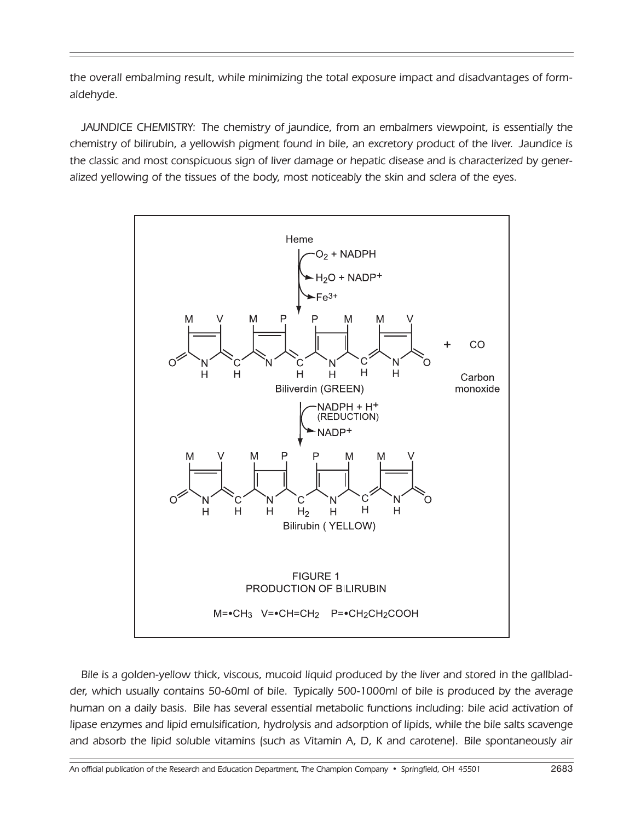the overall embalming result, while minimizing the total exposure impact and disadvantages of formaldehyde.

JAUNDICE CHEMISTRY: The chemistry of jaundice, from an embalmers viewpoint, is essentially the chemistry of bilirubin, a yellowish pigment found in bile, an excretory product of the liver. Jaundice is the classic and most conspicuous sign of liver damage or hepatic disease and is characterized by generalized yellowing of the tissues of the body, most noticeably the skin and sclera of the eyes.



Bile is a golden-yellow thick, viscous, mucoid liquid produced by the liver and stored in the gallbladder, which usually contains 50-60ml of bile. Typically 500-1000ml of bile is produced by the average human on a daily basis. Bile has several essential metabolic functions including: bile acid activation of lipase enzymes and lipid emulsification, hydrolysis and adsorption of lipids, while the bile salts scavenge and absorb the lipid soluble vitamins (such as Vitamin A, D, K and carotene). Bile spontaneously air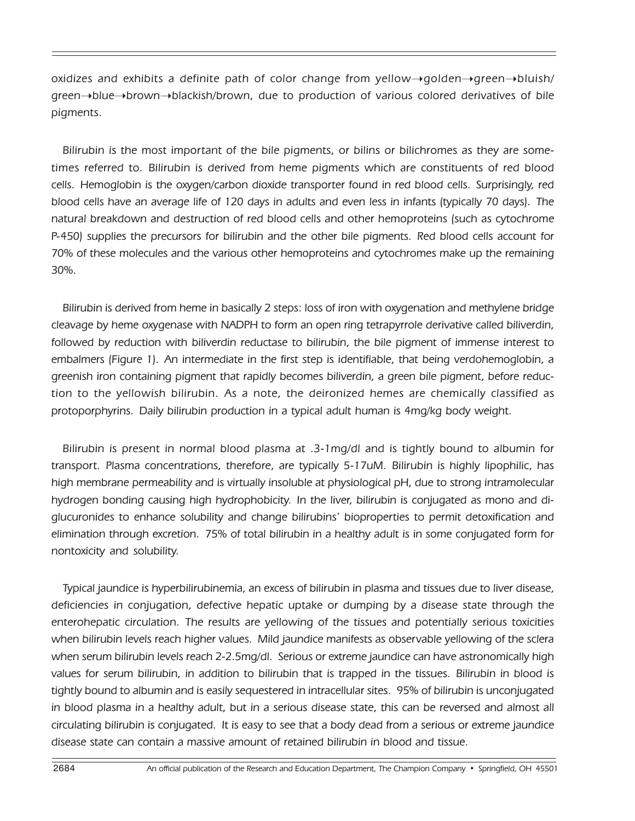oxidizes and exhibits a definite path of color change from yellow $\rightarrow$ golden $\rightarrow$ green $\rightarrow$ bluish/ green¬blue¬brown¬blackish/brown, due to production of various colored derivatives of bile pigments.

Bilirubin is the most important of the bile pigments, or bilins or bilichromes as they are sometimes referred to. Bilirubin is derived from heme pigments which are constituents of red blood cells. Hemoglobin is the oxygen/carbon dioxide transporter found in red blood cells. Surprisingly, red blood cells have an average life of 120 days in adults and even less in infants (typically 70 days). The natural breakdown and destruction of red blood cells and other hemoproteins (such as cytochrome P-450) supplies the precursors for bilirubin and the other bile pigments. Red blood cells account for 70% of these molecules and the various other hemoproteins and cytochromes make up the remaining 30%.

Bilirubin is derived from heme in basically 2 steps: loss of iron with oxygenation and methylene bridge cleavage by heme oxygenase with NADPH to form an open ring tetrapyrrole derivative called biliverdin, followed by reduction with biliverdin reductase to bilirubin, the bile pigment of immense interest to embalmers (Figure 1). An intermediate in the first step is identifiable, that being verdohemoglobin, a greenish iron containing pigment that rapidly becomes biliverdin, a green bile pigment, before reduction to the yellowish bilirubin. As a note, the deironized hemes are chemically classified as protoporphyrins. Daily bilirubin production in a typical adult human is 4mg/kg body weight.

Bilirubin is present in normal blood plasma at .3-1mg/dl and is tightly bound to albumin for transport. Plasma concentrations, therefore, are typically 5-17uM. Bilirubin is highly lipophilic, has high membrane permeability and is virtually insoluble at physiological pH, due to strong intramolecular hydrogen bonding causing high hydrophobicity. In the liver, bilirubin is conjugated as mono and diglucuronides to enhance solubility and change bilirubins' bioproperties to permit detoxification and elimination through excretion. 75% of total bilirubin in a healthy adult is in some conjugated form for nontoxicity and solubility.

Typical jaundice is hyperbilirubinemia, an excess of bilirubin in plasma and tissues due to liver disease, deficiencies in conjugation, defective hepatic uptake or dumping by a disease state through the enterohepatic circulation. The results are yellowing of the tissues and potentially serious toxicities when bilirubin levels reach higher values. Mild jaundice manifests as observable yellowing of the sclera when serum bilirubin levels reach 2-2.5mg/dl. Serious or extreme jaundice can have astronomically high values for serum bilirubin, in addition to bilirubin that is trapped in the tissues. Bilirubin in blood is tightly bound to albumin and is easily sequestered in intracellular sites. 95% of bilirubin is unconjugated in blood plasma in a healthy adult, but in a serious disease state, this can be reversed and almost all circulating bilirubin is conjugated. It is easy to see that a body dead from a serious or extreme jaundice disease state can contain a massive amount of retained bilirubin in blood and tissue.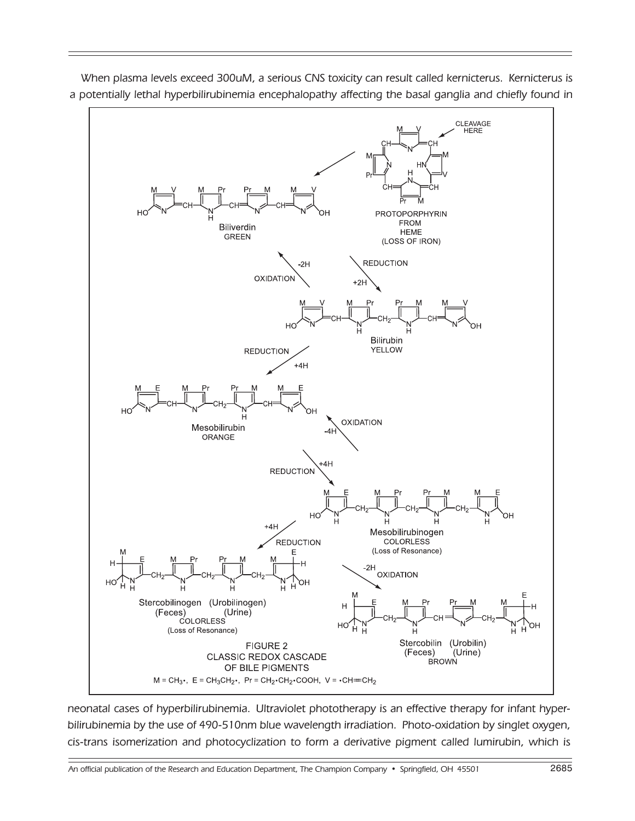

When plasma levels exceed 300uM, a serious CNS toxicity can result called kernicterus. Kernicterus is a potentially lethal hyperbilirubinemia encephalopathy affecting the basal ganglia and chiefly found in

neonatal cases of hyperbilirubinemia. Ultraviolet phototherapy is an effective therapy for infant hyperbilirubinemia by the use of 490-510nm blue wavelength irradiation. Photo-oxidation by singlet oxygen, cis-trans isomerization and photocyclization to form a derivative pigment called lumirubin, which is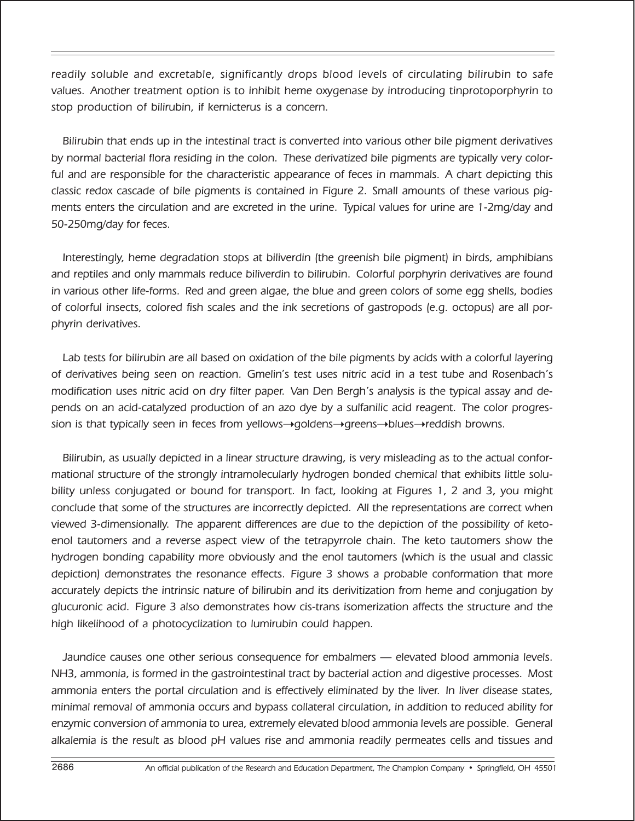readily soluble and excretable, significantly drops blood levels of circulating bilirubin to safe values. Another treatment option is to inhibit heme oxygenase by introducing tinprotoporphyrin to stop production of bilirubin, if kernicterus is a concern.

Bilirubin that ends up in the intestinal tract is converted into various other bile pigment derivatives by normal bacterial flora residing in the colon. These derivatized bile pigments are typically very colorful and are responsible for the characteristic appearance of feces in mammals. A chart depicting this classic redox cascade of bile pigments is contained in Figure 2. Small amounts of these various pigments enters the circulation and are excreted in the urine. Typical values for urine are 1-2mg/day and 50-250mg/day for feces.

Interestingly, heme degradation stops at biliverdin (the greenish bile pigment) in birds, amphibians and reptiles and only mammals reduce biliverdin to bilirubin. Colorful porphyrin derivatives are found in various other life-forms. Red and green algae, the blue and green colors of some egg shells, bodies of colorful insects, colored fish scales and the ink secretions of gastropods (e.g. octopus) are all porphyrin derivatives.

Lab tests for bilirubin are all based on oxidation of the bile pigments by acids with a colorful layering of derivatives being seen on reaction. Gmelin's test uses nitric acid in a test tube and Rosenbach's modification uses nitric acid on dry filter paper. Van Den Bergh's analysis is the typical assay and depends on an acid-catalyzed production of an azo dye by a sulfanilic acid reagent. The color progression is that typically seen in feces from yellows $\rightarrow$ goldens $\rightarrow$ greens $\rightarrow$ blues $\rightarrow$ reddish browns.

Bilirubin, as usually depicted in a linear structure drawing, is very misleading as to the actual conformational structure of the strongly intramolecularly hydrogen bonded chemical that exhibits little solubility unless conjugated or bound for transport. In fact, looking at Figures 1, 2 and 3, you might conclude that some of the structures are incorrectly depicted. All the representations are correct when viewed 3-dimensionally. The apparent differences are due to the depiction of the possibility of ketoenol tautomers and a reverse aspect view of the tetrapyrrole chain. The keto tautomers show the hydrogen bonding capability more obviously and the enol tautomers (which is the usual and classic depiction) demonstrates the resonance effects. Figure 3 shows a probable conformation that more accurately depicts the intrinsic nature of bilirubin and its derivitization from heme and conjugation by glucuronic acid. Figure 3 also demonstrates how cis-trans isomerization affects the structure and the high likelihood of a photocyclization to lumirubin could happen.

Jaundice causes one other serious consequence for embalmers — elevated blood ammonia levels. NH3, ammonia, is formed in the gastrointestinal tract by bacterial action and digestive processes. Most ammonia enters the portal circulation and is effectively eliminated by the liver. In liver disease states, minimal removal of ammonia occurs and bypass collateral circulation, in addition to reduced ability for enzymic conversion of ammonia to urea, extremely elevated blood ammonia levels are possible. General alkalemia is the result as blood pH values rise and ammonia readily permeates cells and tissues and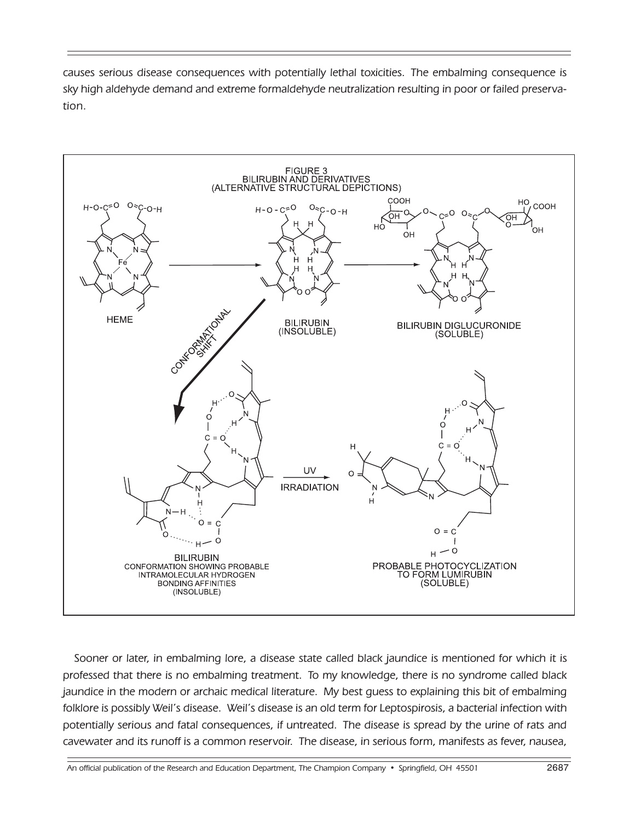causes serious disease consequences with potentially lethal toxicities. The embalming consequence is sky high aldehyde demand and extreme formaldehyde neutralization resulting in poor or failed preservation.



Sooner or later, in embalming lore, a disease state called black jaundice is mentioned for which it is professed that there is no embalming treatment. To my knowledge, there is no syndrome called black jaundice in the modern or archaic medical literature. My best guess to explaining this bit of embalming folklore is possibly Weil's disease. Weil's disease is an old term for Leptospirosis, a bacterial infection with potentially serious and fatal consequences, if untreated. The disease is spread by the urine of rats and cavewater and its runoff is a common reservoir. The disease, in serious form, manifests as fever, nausea,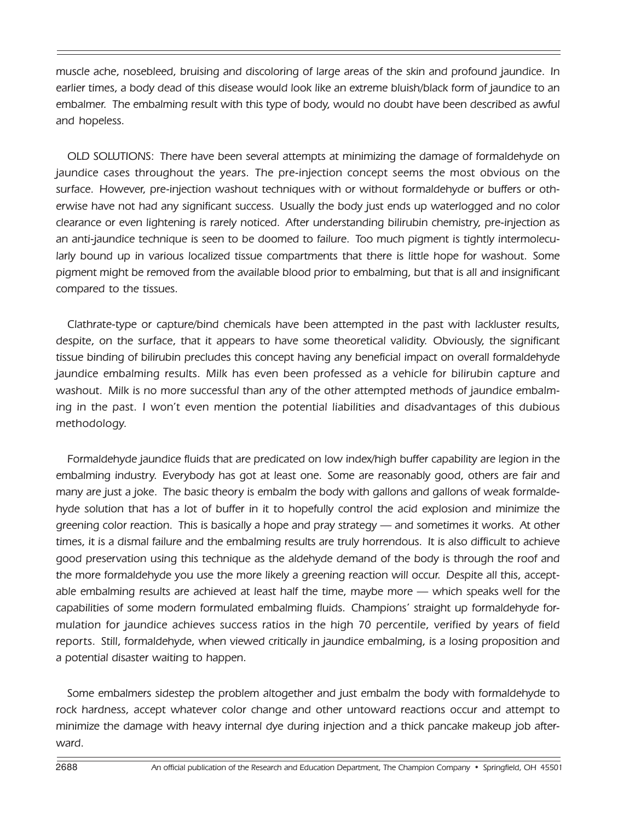muscle ache, nosebleed, bruising and discoloring of large areas of the skin and profound jaundice. In earlier times, a body dead of this disease would look like an extreme bluish/black form of jaundice to an embalmer. The embalming result with this type of body, would no doubt have been described as awful and hopeless.

OLD SOLUTIONS: There have been several attempts at minimizing the damage of formaldehyde on jaundice cases throughout the years. The pre-injection concept seems the most obvious on the surface. However, pre-injection washout techniques with or without formaldehyde or buffers or otherwise have not had any significant success. Usually the body just ends up waterlogged and no color clearance or even lightening is rarely noticed. After understanding bilirubin chemistry, pre-injection as an anti-jaundice technique is seen to be doomed to failure. Too much pigment is tightly intermolecularly bound up in various localized tissue compartments that there is little hope for washout. Some pigment might be removed from the available blood prior to embalming, but that is all and insignificant compared to the tissues.

Clathrate-type or capture/bind chemicals have been attempted in the past with lackluster results, despite, on the surface, that it appears to have some theoretical validity. Obviously, the significant tissue binding of bilirubin precludes this concept having any beneficial impact on overall formaldehyde jaundice embalming results. Milk has even been professed as a vehicle for bilirubin capture and washout. Milk is no more successful than any of the other attempted methods of jaundice embalming in the past. I won't even mention the potential liabilities and disadvantages of this dubious methodology.

Formaldehyde jaundice fluids that are predicated on low index/high buffer capability are legion in the embalming industry. Everybody has got at least one. Some are reasonably good, others are fair and many are just a joke. The basic theory is embalm the body with gallons and gallons of weak formaldehyde solution that has a lot of buffer in it to hopefully control the acid explosion and minimize the greening color reaction. This is basically a hope and pray strategy — and sometimes it works. At other times, it is a dismal failure and the embalming results are truly horrendous. It is also difficult to achieve good preservation using this technique as the aldehyde demand of the body is through the roof and the more formaldehyde you use the more likely a greening reaction will occur. Despite all this, acceptable embalming results are achieved at least half the time, maybe more — which speaks well for the capabilities of some modern formulated embalming fluids. Champions' straight up formaldehyde formulation for jaundice achieves success ratios in the high 70 percentile, verified by years of field reports. Still, formaldehyde, when viewed critically in jaundice embalming, is a losing proposition and a potential disaster waiting to happen.

Some embalmers sidestep the problem altogether and just embalm the body with formaldehyde to rock hardness, accept whatever color change and other untoward reactions occur and attempt to minimize the damage with heavy internal dye during injection and a thick pancake makeup job afterward.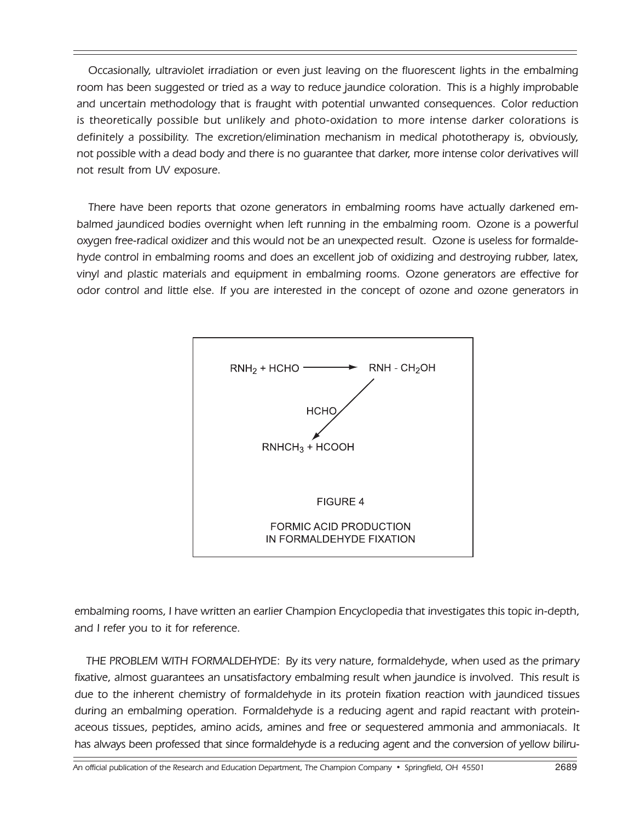Occasionally, ultraviolet irradiation or even just leaving on the fluorescent lights in the embalming room has been suggested or tried as a way to reduce jaundice coloration. This is a highly improbable and uncertain methodology that is fraught with potential unwanted consequences. Color reduction is theoretically possible but unlikely and photo-oxidation to more intense darker colorations is definitely a possibility. The excretion/elimination mechanism in medical phototherapy is, obviously, not possible with a dead body and there is no guarantee that darker, more intense color derivatives will not result from UV exposure.

There have been reports that ozone generators in embalming rooms have actually darkened embalmed jaundiced bodies overnight when left running in the embalming room. Ozone is a powerful oxygen free-radical oxidizer and this would not be an unexpected result. Ozone is useless for formaldehyde control in embalming rooms and does an excellent job of oxidizing and destroying rubber, latex, vinyl and plastic materials and equipment in embalming rooms. Ozone generators are effective for odor control and little else. If you are interested in the concept of ozone and ozone generators in



embalming rooms, I have written an earlier Champion Encyclopedia that investigates this topic in-depth, and I refer you to it for reference.

THE PROBLEM WITH FORMALDEHYDE: By its very nature, formaldehyde, when used as the primary fixative, almost guarantees an unsatisfactory embalming result when jaundice is involved. This result is due to the inherent chemistry of formaldehyde in its protein fixation reaction with jaundiced tissues during an embalming operation. Formaldehyde is a reducing agent and rapid reactant with proteinaceous tissues, peptides, amino acids, amines and free or sequestered ammonia and ammoniacals. It has always been professed that since formaldehyde is a reducing agent and the conversion of yellow biliru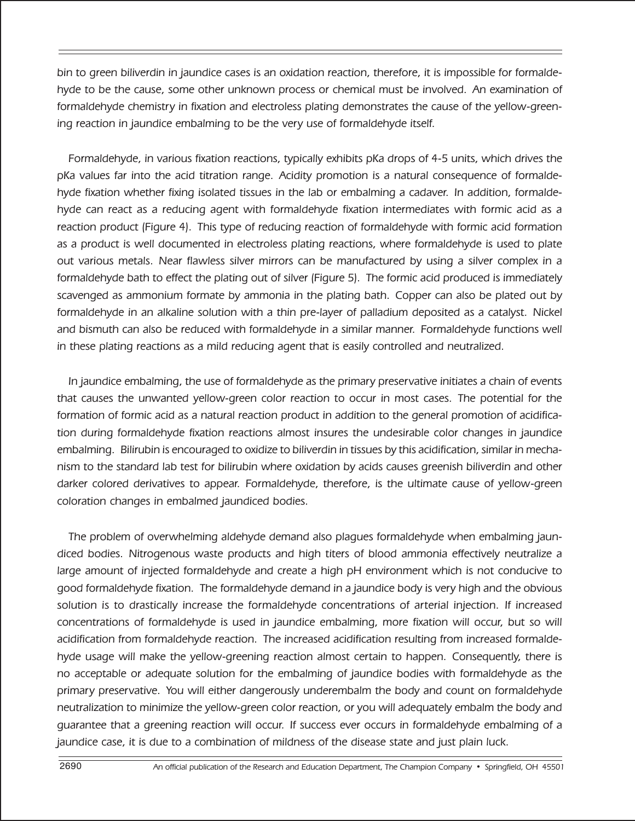bin to green biliverdin in jaundice cases is an oxidation reaction, therefore, it is impossible for formaldehyde to be the cause, some other unknown process or chemical must be involved. An examination of formaldehyde chemistry in fixation and electroless plating demonstrates the cause of the yellow-greening reaction in jaundice embalming to be the very use of formaldehyde itself.

Formaldehyde, in various fixation reactions, typically exhibits pKa drops of 4-5 units, which drives the pKa values far into the acid titration range. Acidity promotion is a natural consequence of formaldehyde fixation whether fixing isolated tissues in the lab or embalming a cadaver. In addition, formaldehyde can react as a reducing agent with formaldehyde fixation intermediates with formic acid as a reaction product (Figure 4). This type of reducing reaction of formaldehyde with formic acid formation as a product is well documented in electroless plating reactions, where formaldehyde is used to plate out various metals. Near flawless silver mirrors can be manufactured by using a silver complex in a formaldehyde bath to effect the plating out of silver (Figure 5). The formic acid produced is immediately scavenged as ammonium formate by ammonia in the plating bath. Copper can also be plated out by formaldehyde in an alkaline solution with a thin pre-layer of palladium deposited as a catalyst. Nickel and bismuth can also be reduced with formaldehyde in a similar manner. Formaldehyde functions well in these plating reactions as a mild reducing agent that is easily controlled and neutralized.

In jaundice embalming, the use of formaldehyde as the primary preservative initiates a chain of events that causes the unwanted yellow-green color reaction to occur in most cases. The potential for the formation of formic acid as a natural reaction product in addition to the general promotion of acidification during formaldehyde fixation reactions almost insures the undesirable color changes in jaundice embalming. Bilirubin is encouraged to oxidize to biliverdin in tissues by this acidification, similar in mechanism to the standard lab test for bilirubin where oxidation by acids causes greenish biliverdin and other darker colored derivatives to appear. Formaldehyde, therefore, is the ultimate cause of yellow-green coloration changes in embalmed jaundiced bodies.

The problem of overwhelming aldehyde demand also plagues formaldehyde when embalming jaundiced bodies. Nitrogenous waste products and high titers of blood ammonia effectively neutralize a large amount of injected formaldehyde and create a high pH environment which is not conducive to good formaldehyde fixation. The formaldehyde demand in a jaundice body is very high and the obvious solution is to drastically increase the formaldehyde concentrations of arterial injection. If increased concentrations of formaldehyde is used in jaundice embalming, more fixation will occur, but so will acidification from formaldehyde reaction. The increased acidification resulting from increased formaldehyde usage will make the yellow-greening reaction almost certain to happen. Consequently, there is no acceptable or adequate solution for the embalming of jaundice bodies with formaldehyde as the primary preservative. You will either dangerously underembalm the body and count on formaldehyde neutralization to minimize the yellow-green color reaction, or you will adequately embalm the body and guarantee that a greening reaction will occur. If success ever occurs in formaldehyde embalming of a jaundice case, it is due to a combination of mildness of the disease state and just plain luck.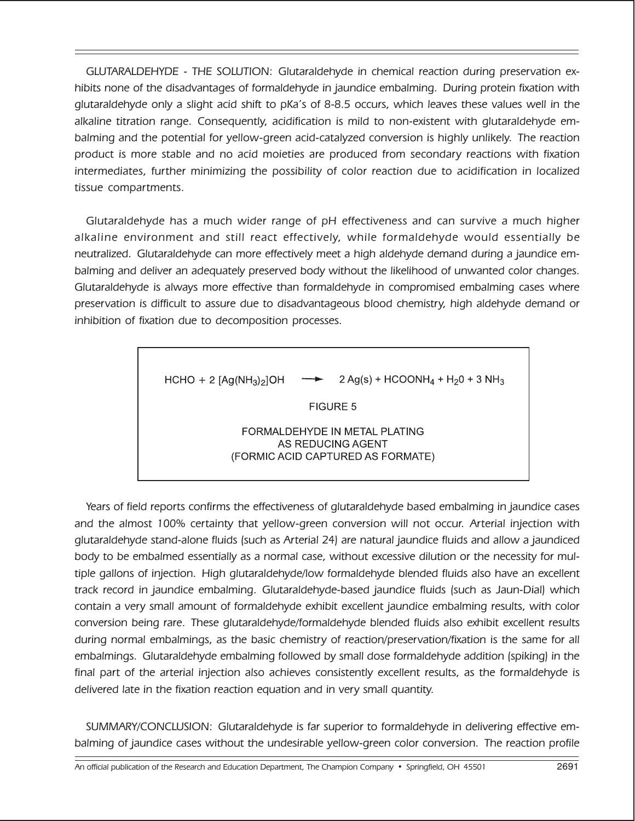GLUTARALDEHYDE - THE SOLUTION: Glutaraldehyde in chemical reaction during preservation exhibits none of the disadvantages of formaldehyde in jaundice embalming. During protein fixation with glutaraldehyde only a slight acid shift to pKa's of 8-8.5 occurs, which leaves these values well in the alkaline titration range. Consequently, acidification is mild to non-existent with glutaraldehyde embalming and the potential for yellow-green acid-catalyzed conversion is highly unlikely. The reaction product is more stable and no acid moieties are produced from secondary reactions with fixation intermediates, further minimizing the possibility of color reaction due to acidification in localized tissue compartments.

Glutaraldehyde has a much wider range of pH effectiveness and can survive a much higher alkaline environment and still react effectively, while formaldehyde would essentially be neutralized. Glutaraldehyde can more effectively meet a high aldehyde demand during a jaundice embalming and deliver an adequately preserved body without the likelihood of unwanted color changes. Glutaraldehyde is always more effective than formaldehyde in compromised embalming cases where preservation is difficult to assure due to disadvantageous blood chemistry, high aldehyde demand or inhibition of fixation due to decomposition processes.

HCHO + 2 
$$
[Ag(NH_3)_2]
$$
OH  $\longrightarrow$  2  $Ag(s)$  + HCOONH<sub>4</sub> +  $H_20$  + 3 NH<sub>3</sub>

\n**FIGURE 5**

\n**FORMALDEHYDE IN METAL PLATING**

\nAS REDUCING AGENT (FORMIC ACID CAPTURED AS FORMATE)

Years of field reports confirms the effectiveness of glutaraldehyde based embalming in jaundice cases and the almost 100% certainty that yellow-green conversion will not occur. Arterial injection with glutaraldehyde stand-alone fluids (such as Arterial 24) are natural jaundice fluids and allow a jaundiced body to be embalmed essentially as a normal case, without excessive dilution or the necessity for multiple gallons of injection. High glutaraldehyde/low formaldehyde blended fluids also have an excellent track record in jaundice embalming. Glutaraldehyde-based jaundice fluids (such as Jaun-Dial) which contain a very small amount of formaldehyde exhibit excellent jaundice embalming results, with color conversion being rare. These glutaraldehyde/formaldehyde blended fluids also exhibit excellent results during normal embalmings, as the basic chemistry of reaction/preservation/fixation is the same for all embalmings. Glutaraldehyde embalming followed by small dose formaldehyde addition (spiking) in the final part of the arterial injection also achieves consistently excellent results, as the formaldehyde is delivered late in the fixation reaction equation and in very small quantity.

SUMMARY/CONCLUSION: Glutaraldehyde is far superior to formaldehyde in delivering effective embalming of jaundice cases without the undesirable yellow-green color conversion. The reaction profile